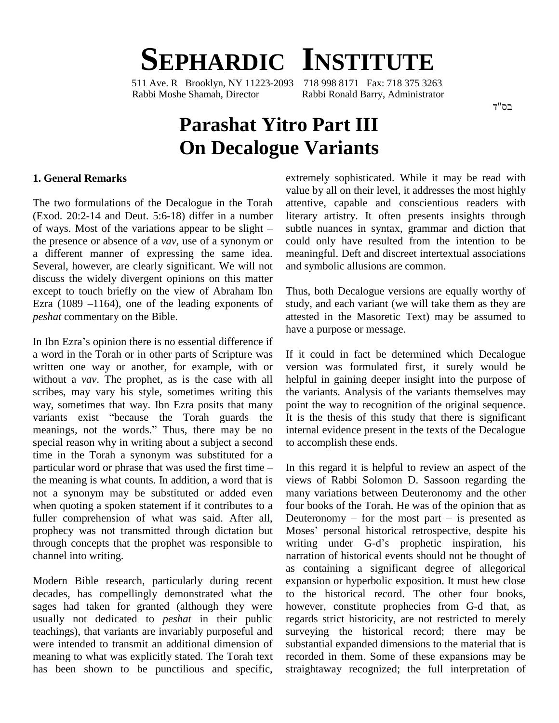# **SEPHARDIC INSTITUTE**

511 Ave. R Brooklyn, NY 11223-2093 Rabbi Moshe Shamah, Director Rabbi Ronald Barry, Administrator

בס"ד

## **Parashat Yitro Part III On Decalogue Variants**

#### **1. General Remarks**

The two formulations of the Decalogue in the Torah attenti (Exod. 20:2-14 and Deut. 5:6-18) differ in a number literar of ways. Most of the variations appear to be slight – subtle (Exod. 20:2-14 and Deut. 5:6-18) differ in a number the presence or absence of a *vav,* use of a synonym or a different manner of expressing the same idea. Several, however, are clearly significant. We will not discuss the widely divergent opinions on this matter except to touch briefly on the view of Abraham Ibn discuss the widely divergent opinions on this matter<br>except to touch briefly on the view of Abraham Ibn Thi<br>Ezra (1089 –1164), one of the leading exponents of stud *peshat* commentary on the Bible.

In Ibn Ezra's opinion there is no essential difference if a word in the Torah or in other parts of Scripture was written one way or another, for example, with or without a *vav*. The prophet, as is the case with all scribes, may vary his style, sometimes writing this way, sometimes that way. Ibn Ezra posits that many point scribes, may vary his style, sometimes writing this the v<br>way, sometimes that way. Ibn Ezra posits that many point<br>variants exist "because the Torah guards the It is way, sometimes that way. Ibn Ezra posits that many point variants exist "because the Torah guards the It is the meanings, not the words." Thus, there may be no internal special reason why in writing about a subject a second to accuration in the Torah a synonym was substituted for a particular word or phrase that was used the first time – In this time in the Torah a synonym was substituted for a the meaning is what counts. In addition, a word that is not a synonym may be substituted or added even when quoting a spoken statement if it contributes to a fuller comprehension of what was said. After all, prophecy was not transmitted through dictation but Moses' personal historical retrospective, despite his through concepts that the prophet was responsible to writing under G-d's prophetic inspiration, his channel into writing.

Modern Bible research, particularly during recent decades, has compellingly demonstrated what the sages had taken for granted (although they were usually not dedicated to *peshat* in their public teachings), that variants are invariably purposeful and were intended to transmit an additional dimension of meaning to what was explicitly stated. The Torah text has been shown to be punctilious and specific, extremely sophisticated. While it may be read with value by all on their level, it addresses the most highly attentive, capable and conscientious readers with literary artistry. It often presents insights through subtle nuances in syntax, grammar and diction that could only have resulted from the intention to be meaningful. Deft and discreet intertextual associations and symbolic allusions are common.

Thus, both Decalogue versions are equally worthy of study, and each variant (we will take them as they are attested in the Masoretic Text) may be assumed to have a purpose or message.

If it could in fact be determined which Decalogue version was formulated first, it surely would be helpful in gaining deeper insight into the purpose of the variants. Analysis of the variants themselves may point the way to recognition of the original sequence. It is the thesis of this study that there is significant internal evidence present in the texts of the Decalogue to accomplish these ends.

In this regard it is helpful to review an aspect of the views of Rabbi Solomon D. Sassoon regarding the many variations between Deuteronomy and the other<br>four books of the Torah. He was of the opinion that as<br>Deuteronomy – for the most part – is presented as four books of the Torah. He was of the opinion that as<br>Deuteronomy – for the most part – is presented as<br>Moses' personal historical retrospective, despite his Deuteronomy – for the most part – is presented as narration of historical events should not be thought of as containing a significant degree of allegorical expansion or hyperbolic exposition. It must hew close to the historical record. The other four books, however, constitute prophecies from G-d that, as regards strict historicity, are not restricted to merely surveying the historical record; there may be substantial expanded dimensions to the material that is recorded in them. Some of these expansions may be straightaway recognized; the full interpretation of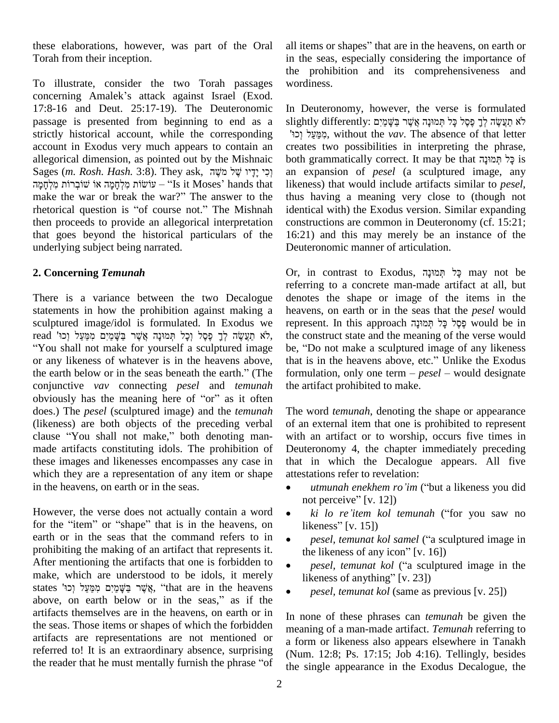these elaborations, however, was part of the Oral Torah from their inception.

To illustrate, consider the two Torah passages th<br>To illustrate, consider the two Torah passages w<br>concerning Amalek's attack against Israel (Exod. 17:8-16 and Deut. 25:17-19). The Deuteronomic passage is presented from beginning to end as a strictly historical account, while the corresponding account in Exodus very much appears to contain an allegorical dimension, as pointed out by the Mishnaic both account in Exodus very much appears to contain an crallegorical dimension, as pointed out by the Mishnaic bo<br>Sages (*m. Rosh. Hash.* 3:8). They ask, קִינֶי שֶׁל מֹשֶׂה allegorical dimension, as pointed out by the Mishnaic bo<br>Sages (m. *Rosh. Hash.* הָי יִדָּיו שָׁל מִשֶּׁה, S. They ask, וְכִי יִדָּיו שָׁל מִשָּׁה<br>נעוֹשׂוֹת מִלְחָמָה אוֹ שׁוֹבְרוֹת מִלְחָמָה "Is it Moses' hands that lik Sages (m. Rosh. Hash. 3:8). They ask, וְכִי יָדָיו שֶׁל מַשֶׁה<br>הַעוֹשׂוֹת מִלְחָמָה אוֹ שׁוֹבְרוֹת מִלְחָמָה "Is it Moses' hands that liken liken<br>make the war or break the war?" The answer to the thus עוֹשׂוֹת מִלְחָמָה אוֹ שׁוֹבְרוֹת מִלְחָמָה it Moses' hands that likene make the war or break the war?" The answer to the thus l<br>rhetorical question is "of course not." The Mishnah identic then proceeds to provide an allegorical interpretation that goes beyond the historical particulars of the underlying subject being narrated.

### **2. Concerning** *Temunah*

There is a variance between the two Decalogue statements in how the prohibition against making a heave sculptured image/idol is formulated. In Exodus we repre read image/idol is formulated. In Exodus we read image/idol is formulated. In Exodus we read<br>read 'תַּעֲשֶׂה לְךָ פֶּסֶל וְכָל תְּמוּנָה אֲשֶׁר בַּשָּׁמַיִם מִמַּעַל וְכוּ "You shall not make for yourself a sculptured image be, "<br>or any likeness of whatever is in the heavens above, that if<br>the earth below or in the seas beneath the earth." (The form or any likeness of whatever is in the heavens above, conjunctive *vav* connecting *pesel* and *temunah* the earth below or in the seas beneath the earth." (The formu conjunctive *vav* connecting *pesel* and *temunah* the art obviously has the meaning here of "or" as it often does.) The *pesel* (sculptured image) and the *temunah* (likeness) are both objects of the preceding verbal clause "You shall not make," both denoting manmade artifacts constituting idols. The prohibition of these images and likenesses encompasses any case in which they are a representation of any item or shape in the heavens, on earth or in the seas.

However, the verse does not actually contain a word  $\bullet$ for the "item" or "shape" that is in the heavens, on likeness"  $[v, 15]$ earth or in the seas that the command refers to in  $\bullet$ prohibiting the making of an artifact that represents it. After mentioning the artifacts that one is forbidden to  $\bullet$ make, which are understood to be idols, it merely  $\frac{1}{2}$  likeness of anything" [v. 23]) After mentioning the artifacts that one is forbidden to<br>
make, which are understood to be idols, it merely<br>
states  $\gamma_{\varphi}$ ישֶׁר בַּשָּׁמַיָּם מִמַּעֲל וְכוּ make, which are understood to be idols, it merely<br>states אֲשֶׁרַ בַּשֶּׁמַיִם מִמַּעַל וְכוּ, "that are in the heavens above, on earth below or in the seas," as if the artifacts themselves are in the heavens, on earth or in the seas. Those items or shapes of which the forbidden artifacts are representations are not mentioned or referred to! It is an extraordinary absence, surprising (N<sub>um</sub>) artifacts are representations are not mentioned or a fine<br>referred to! It is an extraordinary absence, surprising (N<sub>I</sub><br>the reader that he must mentally furnish the phrase "of the

all items or shapes" that are in the heavens, on earth or in the seas, especially considering the importance of the prohibition and its comprehensiveness and wordiness.

In Deuteronomy, however, the verse is formulated In Deuteronomy, however, the verse is formulated<br>slightly differently: לֹא תַעֲשֶׂה לְךָ פֶסֶל כָּל תְּמוּנָה אֲשֶׁר בַּשֶּׁמַיִם İ n Deuteronomy, however, the verse is formulated ightly differently: מֹא תַעֲשֶׂה לְךָ פֶּסֶל כָּל תְּמוּנָה אֲשֶׁ<br>לֹא תַעֲשֶׂה לְךָ פֶּסֶל כָּל תְּמוּנָה אֲשֶׁר בַּשָּׁמַיִם; without the *vav*. The absence of that letter creates two possibilities in interpreting the phrase, both grammatically correct. It may be that הַמוּנַה is an expansion of *pesel* (a sculptured image, any likeness) that would include artifacts similar to *pesel*, thus having a meaning very close to (though not identical with) the Exodus version. Similar expanding constructions are common in Deuteronomy (cf. 15:21; 16:21) and this may merely be an instance of the Deuteronomic manner of articulation.

Or, in contrast to Exodus, פְל תְּמוּנָה may not be referring to a concrete man-made artifact at all, but denotes the shape or image of the items in the<br>heavens, on earth or in the seas that the *pesel* would<br>represent. In this approach פֶּסֶל כָּל תְּמוּנָה would be in heavens, on earth or in the seas that the *pesel* would the construct state and the meaning of the verse would peresent. In this approach בְּסֶל כָּל הְּמוּנָה would be in<br>the construct state and the meaning of the verse would<br>be, "Do not make a sculptured image of any likeness the construct state and the meaning of the verse would<br>be, "Do not make a sculptured image of any likeness<br>that is in the heavens above, etc." Unlike the Exodus be, "Do not make a sculptured image of any likeness<br>that is in the heavens above, etc." Unlike the Exodus<br>formulation, only one term – *pesel* – would designate the artifact prohibited to make.

The word *temunah*, denoting the shape or appearance of an external item that one is prohibited to represent with an artifact or to worship, occurs five times in Deuteronomy 4, the chapter immediately preceding that in which the Decalogue appears. All five attestations refer to revelation: in which the Decalogue appears. All five ations refer to revelation:<br>*utmunah enekhem ro'im* ("but a likeness you did attestations refer to revelation:<br>• utmungh enekhem ro'im

- *kimunah enekhem ro`im* ("but a likeness you did<br>bt perceive" [v. 12])<br>*ki lo re`item kol temunah* ("for you saw no not perceive"  $[v. 12]$ )
- *ki lo re'item kol temunah* ("for you saw no
- *pesel, temunat kol samel* ("a sculptured image in the likeness of any icon"  $[v. 16]$ ) *pesel, temunat kol samel* ("a sculptured image in<br>e likeness of any icon" [v. 16])<br>*pesel, temunat kol* ("a sculptured image in the
- the likeness of any icon" [v. 16])<br>
 *pesel, temunat kol* ("a sculpture likeness of anything" [v. 23])
- *pesel, temunat kol* (same as previous [v. 25])

In none of these phrases can *temunah* be given the meaning of a man-made artifact. *Temunah* referring to a form or likeness also appears elsewhere in Tanakh (Num. 12:8; Ps. 17:15; Job 4:16). Tellingly, besides the single appearance in the Exodus Decalogue, the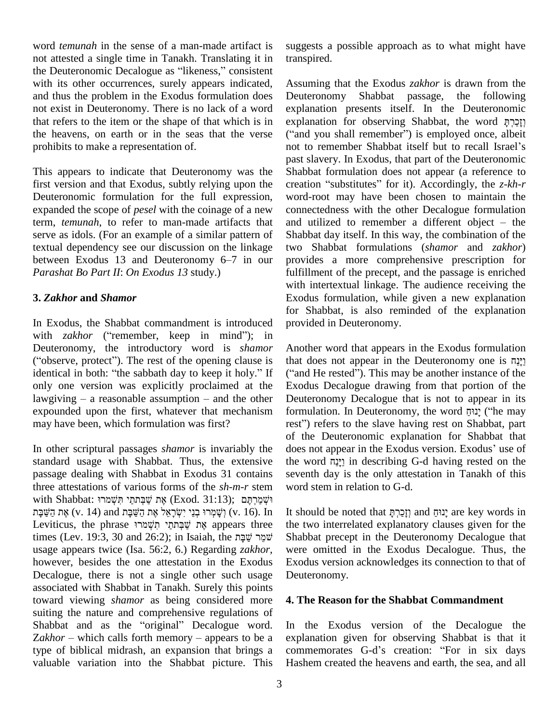word *temunah* in the sense of a man-made artifact is not attested a single time in Tanakh. Translating it in word *temunah* in the sense of a man-made artifact is sue not attested a single time in Tanakh. Translating it in tracher the Deuteronomic Decalogue as "likeness," consistent with its other occurrences, surely appears indicated, and thus the problem in the Exodus formulation does not exist in Deuteronomy. There is no lack of a word that refers to the item or the shape of that which is in the heavens, on earth or in the seas that the verse prohibits to make a representation of.

This appears to indicate that Deuteronomy was the first version and that Exodus, subtly relying upon the Deuteronomic formulation for the full expression, expanded the scope of *pesel* with the coinage of a new term, *temunah*, to refer to man-made artifacts that serve as idols. (For an example of a similar pattern of textual dependency see our discussion on the linkage between Exodus 13 and Deuteronomy  $6-7$  in our *Parashat Bo Part II*: *On Exodus 13* study.)

### **3.** *Zakhor* **and** *Shamor*

In Exodus, the Shabbat commandment is introduced with *zakhor* ("remember, keep in mind"); in Deuteronomy, the introductory word is *shamor* with *zakhor* ("remember, keep in mind"); in<br>Deuteronomy, the introductory word is *shamor* Ano<br>("observe, protect"). The rest of the opening clause is that Deuteronomy, the introductory word is *shamor* An ("observe, protect"). The rest of the opening clause is that identical in both: "the sabbath day to keep it holy." If ("a only one version was explicitly proclaimed at the identical in both: "the sabbath day to keep it holy." If only one version was explicitly proclaimed at the lawgiving  $-$  a reasonable assumption  $-$  and the other expounded upon the first, whatever that mechanism may have been, which formulation was first?

standard usage with Shabbat. Thus, the extensive passage dealing with Shabbat in Exodus 31 contains three attestations of various forms of the *sh-m-r* stem word stem with Shabbat: יִשְׁמַרְתֶּם (Exod. 31:13); אֶת שֲׁבָּתְתֵּי הְּשָׁמֹרוּ e attestations of various forms of the  $sh{\text -}m{\text -}r$  stem word s<br>וּשֶׁמַּרְתֶּם (Exod. 31:13); אֶת שַׁבְּתַתַּי תִּשְׁמַרוּ (Shabbat: וּשָׁמַּרְתַּח שַׁבְּתַתַּי תִּשְׁמַרוּ with Shabbat: וּשְׁמֵרְתֶּם (Exod. 31:13); אֶת שֲׁבְּתֹתֵי תִּשְׁמֹרוּ<br>אֶת הַשַּׁבָּת (v. 14) and הַשַּׁבָּת אֶת יִשְׂרָאֵל אֶת הַעַּשְּׁבָּת (v. 16). In It sho<br>אֶת שַׁבְּתֹתֵי תִּשְׁמֹרוּ Appears three the tv עִשְׁבָּת (v. 14) וִשָּׁמְרוּ בְנֵי יִשְׂרָאֵל אֶת הַשַּׁבָּת (v. 16). In It should [עֲמוֹ עַקְּתַח עַקְל אֶת הַשַּׁבָּת (v. 16). In It should [uviticus, the phrase שְׁמְרֵי תִּשְׁבָּת (v. 16). In Isaiah, the שְׁמַר the usage appears twice (Isa. 56:2, 6.) Regarding *zakhor*, however, besides the one attestation in the Exodus Decalogue, there is not a single other such usage associated with Shabbat in Tanakh. Surely this points toward viewing *shamor* as being considered more suiting the nature and comprehensive regulations of toward viewing *shamor* as being considered more 4.<br>suiting the nature and comprehensive regulations of<br>Shabbat and as the "original" Decalogue word. In suiting the nature and comprehensive regulations of<br>Shabbat and as the "original" Decalogue word. In t<br>Zakhor – which calls forth memory – appears to be a expla type of biblical midrash, an expansion that brings a valuable variation into the Shabbat picture. This

suggests a possible approach as to what might have transpired.

Assuming that the Exodus *zakhor* is drawn from the Shabbat passage, the following explanation presents itself. In the Deuteronomic explanation for observing Shabbat, the word [ $\overline{C}$ explanation presents itself. In the Deuteronomic<br>explanation for observing Shabbat, the word וְזָכַרְהָ<br>("and you shall remember") is employed once, albeit explanation for observing Shabbat, the word וְזָכַרְהָּ<br>("and you shall remember") is employed once, albeit<br>not to remember Shabbat itself but to recall Israel's past slavery. In Exodus, that part of the Deuteronomic Shabbat formulation does not appear (a reference to creation "substitutes" for it). Accordingly, the *z-kh-r* word-root may have been chosen to maintain the connectedness with the other Decalogue formulation and utilized to remember a different object  $-$  the Shabbat day itself. In this way, the combination of the two Shabbat formulations (*shamor* and *zakhor*) provides a more comprehensive prescription for fulfillment of the precept, and the passage is enriched with intertextual linkage. The audience receiving the Exodus formulation, while given a new explanation for Shabbat, is also reminded of the explanation provided in Deuteronomy.

In other scriptural passages *shamor* is invariably the does not appear in the Exodus version. Exodus' use of Another word that appears in the Exodus formulation that does not appear in the Deuteronomy one is וינה ("and He rested"). This may be another instance of the Exodus Decalogue drawing from that portion of the<br>Deuteronomy Decalogue that is not to appear in its<br>formulation. In Deuteronomy, the word יָנוּהַן ("he may Deuteronomy Decalogue that is not to appear in its Reuteronomy Decalogue that is not to appear in its formulation. In Deuteronomy, the word יָנוּחָ ("he may rest") refers to the slave having rest on Shabbat, part of the Deuteronomic explanation for Shabbat that does not appear in the Exodus version. Exodus' use of the word  $\frac{172}{21}$  in describing G-d having rested on the rest") refers to the slave having rest on Shabbat, part<br>of the Deuteronomic explanation for Shabbat that<br>does not appear in the Exodus version. Exodus' use of seventh day is the only attestation in Tanakh of this word stem in relation to G-d.

> It should be noted that יָנוּחָ and יָנוּחָ are key words in the two interrelated explanatory clauses given for the Shabbat precept in the Deuteronomy Decalogue that were omitted in the Exodus Decalogue. Thus, the Exodus version acknowledges its connection to that of Deuteronomy.

#### **4. The Reason for the Shabbat Commandment**

In the Exodus version of the Decalogue the explanation given for observing Shabbat is that it commemorates G-d's creation: "For in six days Hashem created the heavens and earth, the sea, and all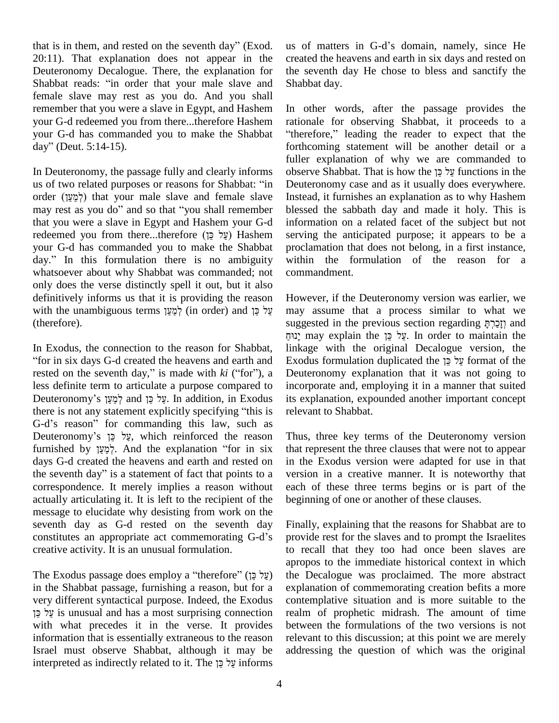that is in them, and rested on the seventh day" (Exod. 20:11). That explanation does not appear in the create<br>Deuteronomy Decalogue. There, the explanation for the se<br>Shabbat reads: "in order that your male slave and Shabb Deuteronomy Decalogue. There, the explanation for female slave may rest as you do.And you shall remember that you were a slave in Egypt, and Hashem your G-d redeemed you from there...therefore Hashem rationale f<br>your G-d has commanded you to make the Shabbat "therefore,"<br>day" (Deut. 5:14-15). forthcomin your G-d has commanded you to make the Shabbat

us of two related purposes or reasons for Shabbat: "in In Deuteronomy, the passage fully and clearly informs obser<br>us of two related purposes or reasons for Shabbat: "in Deuter<br>order (לְמַעֲן) that your male slave and female slave Instea est as you do" and so that "in Develoption" (לְמַעֲן) that your male slave and female slave Instance in that "you shall remember ble that you were a slave in Egypt and Hashem your G-d may rest as you do" and so that "you shall remember your G-d has commanded you to make the Shabbat redeemed you from there...therefore (עֲל כֵּן) Hashem your G-d has commanded you to make the Shabbat day." In this formulation there is no ambiguity whatsoever about why Shabbat was commanded; not only does the verse distinctly spell it out, but it also definitively informs us that it is providing the reason with the unambiguous terms לְמֵעֵן (in order) and עֵל כֵּן (therefore).

for in six days G-d created the heavens and earth and rested on the seventh day," is made with  $ki$  ("for"), a less definite term to articulate a purpose compared to rested on the seventh day," is made with  $ki$  ("for"), a Deu<br>less definite term to articulate a purpose compared to inco<br>Deuteronomy's לְמֵעָּךְ and tis metallition, in Exodus its e thes definite term to articulate a purpose compared to inco<br>Deuteronomy's עֲל כֵּן and עֲל כֵּן in addition, in Exodus its explicitly specifying "this is relevent specifying for the set Deuteronomy's אֲלְכֵּן and לְמַעַן and עֲלֹכֵן. In addition, in Exodus its e<br>there is not any statement explicitly specifying "this is relev<br>G-d's reason" for commanding this law, such as there is not any statement explicitly specifying "this is releva<br>G-d's reason" for commanding this law, such as<br>Deuteronomy's  $\zeta$  γ which reinforced the reason Thus, G-d's reason" for commanding this law, such as<br>Deuteronomy's עֲל כֵּן which reinforced the reason Thus,<br>furnished by לְמַעָּן And the explanation "for in six that re days G-d created the heavens and earth and rested on furnished by לְמַעַן And the explanation "for in six days G-d created the heavens and earth and rested on the seventh day" is a statement of fact that points to a correspondence. It merely implies a reason without actually articulating it. It is left to the recipient of the message to elucidate why desisting from work on the<br>seventh day as G-d rested on the seventh day Final<br>constitutes an appropriate act commemorating G-d's provi seventh day as G-d rested on the seventh day creative activity. It is an unusual formulation.

The Exodus passage does employ a "therefore" (על כן) in the Shabbat passage, furnishing a reason, but for a explar<br>very different syntactical purpose. Indeed, the Exodus conter<br>is given is unusual and has a most surprising connection realm very different syntactical purpose. Indeed, the Exodus with what precedes it in the verse. It provides information that is essentially extraneous to the reason releva<br>Israel must observe Shabbat, although it may be addres<br>interpreted as indirectly related to it. The עֵל כֵּן informs Israel must observe Shabbat, although it may be

us of matters in G-d's domain, namely, since He created the heavens and earth in six days and rested on the seventh day He chose to bless and sanctify the Shabbat day.

In Deuteronomy, the passage fully and clearly informs In other words, after the passage provides the rationale for observing Shabbat, it proceeds to a "therefore," leading the reader to expect that the forthcoming statement will be another detail or a fuller explanation of why we are commanded to observe Shabbat. That is how the quantions in the observe Shabbat. That is how the צֵל כֵּן functions in the Deuteronomy case and as it usually does everywhere. Instead, it furnishes an explanation as to why Hashem blessed the sabbath day and made it holy. This is information on a related facet of the subject but not serving the anticipated purpose; it appears to be a proclamation that does not belong, in a first instance, within the formulation of the reason for a commandment.

In Exodus, the connection to the reason for Shabbat, <sup>ì</sup>However, if the Deuteronomy version was earlier, we may assume that a process similar to what we However, if the Deuteronomy version was earlier, we may assume that a process similar to what we suggested in the previous section regarding  $\frac{75}{2}$ ? and may assume that a process similar to what we<br>suggested in the previous section regarding יְזָכַרְהָּ<br>may explain the עֵל כֵּן In order to maintain the linkage with the original Decalogue version, the ינוּדַן may explain the אֲל בֵּן formulation duplicated the yye. In order to maintain the linkage with the original Decalogue version, the Exodus formulation duplicated the yye format of the Deuteronomy explanation that it was not going to incorporate and, employing it in a manner that suited its explanation, expounded another important concept relevant to Shabbat.

> Thus, three key terms of the Deuteronomy version that represent the three clauses that were not to appear in the Exodus version were adapted for use in that version in a creative manner. It is noteworthy that each of these three terms begins or is part of the beginning of one or another of these clauses.

> Finally, explaining that the reasons for Shabbat are to provide rest for the slaves and to prompt the Israelites to recall that they too had once been slaves are apropos to the immediate historical context in which the Decalogue was proclaimed. The more abstract explanation of commemorating creation befits a more contemplative situation and is more suitable to the realm of prophetic midrash. The amount of time between the formulations of the two versions is not relevant to this discussion; at this point we are merely addressing the question of which was the original